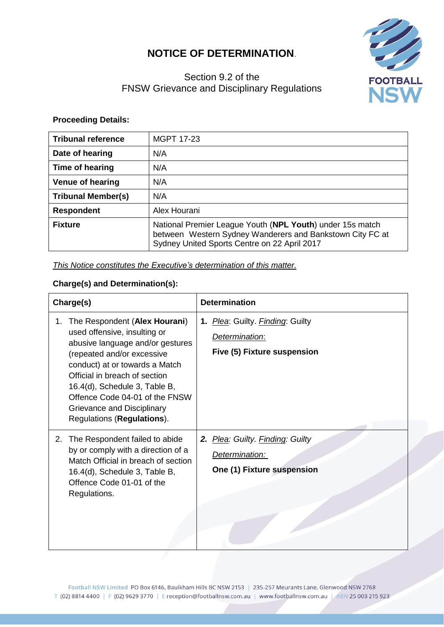## **NOTICE OF DETERMINATION**.



## Section 9.2 of the FNSW Grievance and Disciplinary Regulations

## **Proceeding Details:**

| <b>Tribunal reference</b> | <b>MGPT 17-23</b>                                                                                                                                                      |
|---------------------------|------------------------------------------------------------------------------------------------------------------------------------------------------------------------|
| Date of hearing           | N/A                                                                                                                                                                    |
| Time of hearing           | N/A                                                                                                                                                                    |
| <b>Venue of hearing</b>   | N/A                                                                                                                                                                    |
| <b>Tribunal Member(s)</b> | N/A                                                                                                                                                                    |
| <b>Respondent</b>         | Alex Hourani                                                                                                                                                           |
| <b>Fixture</b>            | National Premier League Youth (NPL Youth) under 15s match<br>between Western Sydney Wanderers and Bankstown City FC at<br>Sydney United Sports Centre on 22 April 2017 |

*This Notice constitutes the Executive's determination of this matter.*

## **Charge(s) and Determination(s):**

| Charge(s)                                                                                                                                                                                                                                                                                                                               | <b>Determination</b>                                                              |
|-----------------------------------------------------------------------------------------------------------------------------------------------------------------------------------------------------------------------------------------------------------------------------------------------------------------------------------------|-----------------------------------------------------------------------------------|
| The Respondent (Alex Hourani)<br>1.<br>used offensive, insulting or<br>abusive language and/or gestures<br>(repeated and/or excessive<br>conduct) at or towards a Match<br>Official in breach of section<br>16.4(d), Schedule 3, Table B,<br>Offence Code 04-01 of the FNSW<br>Grievance and Disciplinary<br>Regulations (Regulations). | 1. Plea: Guilty. Finding: Guilty<br>Determination:<br>Five (5) Fixture suspension |
| The Respondent failed to abide<br>2.<br>by or comply with a direction of a<br>Match Official in breach of section<br>16.4(d), Schedule 3, Table B,<br>Offence Code 01-01 of the<br>Regulations.                                                                                                                                         | 2. Plea: Guilty. Finding: Guilty<br>Determination:<br>One (1) Fixture suspension  |